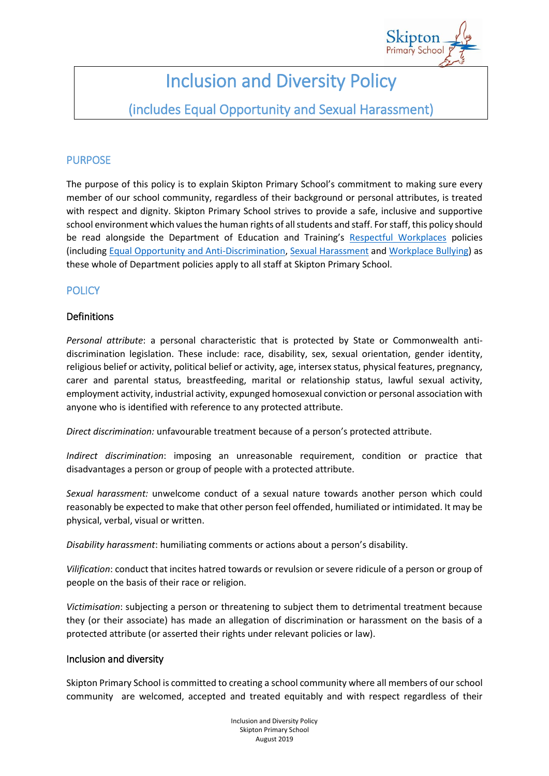

# Inclusion and Diversity Policy

# (includes Equal Opportunity and Sexual Harassment)

# PURPOSE

The purpose of this policy is to explain Skipton Primary School's commitment to making sure every member of our school community, regardless of their background or personal attributes, is treated with respect and dignity. Skipton Primary School strives to provide a safe, inclusive and supportive school environment which values the human rights of all students and staff. For staff, this policy should be read alongside the Department of Education and Training's [Respectful Workplaces](https://www.education.vic.gov.au/hrweb/divequity/Pages/respect.aspx) policies (including [Equal Opportunity and Anti-Discrimination,](https://www.education.vic.gov.au/hrweb/divequity/Pages/default_eeo.aspx) [Sexual Harassment](https://www.education.vic.gov.au/hrweb/divequity/Pages/SexualHarassment.aspx) and [Workplace Bullying\)](https://www.education.vic.gov.au/hrweb/safetyhw/Pages/workplacebullying.aspx) as these whole of Department policies apply to all staff at Skipton Primary School.

## **POLICY**

#### Definitions

*Personal attribute*: a personal characteristic that is protected by State or Commonwealth antidiscrimination legislation. These include: race, disability, sex, sexual orientation, gender identity, religious belief or activity, political belief or activity, age, intersex status, physical features, pregnancy, carer and parental status, breastfeeding, marital or relationship status, lawful sexual activity, employment activity, industrial activity, expunged homosexual conviction or personal association with anyone who is identified with reference to any protected attribute.

*Direct discrimination:* unfavourable treatment because of a person's protected attribute.

*Indirect discrimination*: imposing an unreasonable requirement, condition or practice that disadvantages a person or group of people with a protected attribute.

*Sexual harassment:* unwelcome conduct of a sexual nature towards another person which could reasonably be expected to make that other person feel offended, humiliated or intimidated. It may be physical, verbal, visual or written.

*Disability harassment*: humiliating comments or actions about a person's disability.

*Vilification*: conduct that incites hatred towards or revulsion or severe ridicule of a person or group of people on the basis of their race or religion.

*Victimisation*: subjecting a person or threatening to subject them to detrimental treatment because they (or their associate) has made an allegation of discrimination or harassment on the basis of a protected attribute (or asserted their rights under relevant policies or law).

#### Inclusion and diversity

Skipton Primary School is committed to creating a school community where all members of our school community are welcomed, accepted and treated equitably and with respect regardless of their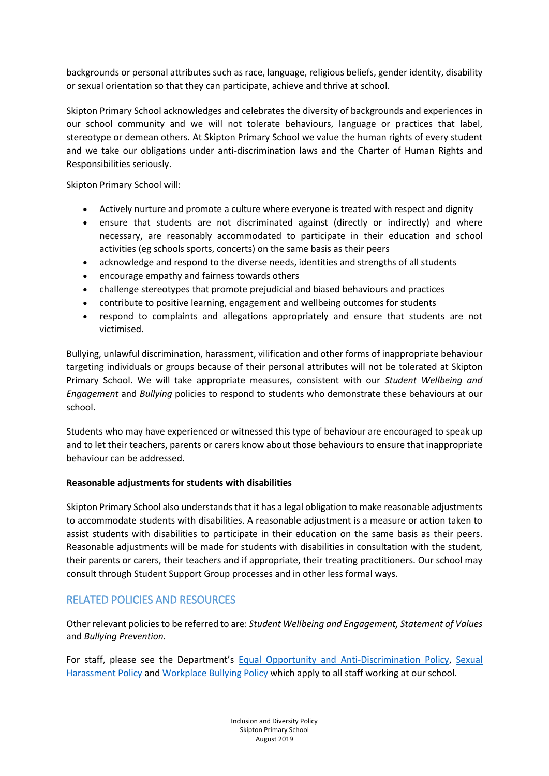backgrounds or personal attributes such as race, language, religious beliefs, gender identity, disability or sexual orientation so that they can participate, achieve and thrive at school.

Skipton Primary School acknowledges and celebrates the diversity of backgrounds and experiences in our school community and we will not tolerate behaviours, language or practices that label, stereotype or demean others. At Skipton Primary School we value the human rights of every student and we take our obligations under anti-discrimination laws and the Charter of Human Rights and Responsibilities seriously.

Skipton Primary School will:

- Actively nurture and promote a culture where everyone is treated with respect and dignity
- ensure that students are not discriminated against (directly or indirectly) and where necessary, are reasonably accommodated to participate in their education and school activities (eg schools sports, concerts) on the same basis as their peers
- acknowledge and respond to the diverse needs, identities and strengths of all students
- encourage empathy and fairness towards others
- challenge stereotypes that promote prejudicial and biased behaviours and practices
- contribute to positive learning, engagement and wellbeing outcomes for students
- respond to complaints and allegations appropriately and ensure that students are not victimised.

Bullying, unlawful discrimination, harassment, vilification and other forms of inappropriate behaviour targeting individuals or groups because of their personal attributes will not be tolerated at Skipton Primary School. We will take appropriate measures, consistent with our *Student Wellbeing and Engagement* and *Bullying* policies to respond to students who demonstrate these behaviours at our school.

Students who may have experienced or witnessed this type of behaviour are encouraged to speak up and to let their teachers, parents or carers know about those behaviours to ensure that inappropriate behaviour can be addressed.

#### **Reasonable adjustments for students with disabilities**

Skipton Primary School also understands that it has a legal obligation to make reasonable adjustments to accommodate students with disabilities. A reasonable adjustment is a measure or action taken to assist students with disabilities to participate in their education on the same basis as their peers. Reasonable adjustments will be made for students with disabilities in consultation with the student, their parents or carers, their teachers and if appropriate, their treating practitioners. Our school may consult through Student Support Group processes and in other less formal ways.

### RELATED POLICIES AND RESOURCES

Other relevant policies to be referred to are: *Student Wellbeing and Engagement, Statement of Values* and *Bullying Prevention.*

For staff, please see the Department's [Equal Opportunity and Anti-Discrimination Policy,](https://www.education.vic.gov.au/hrweb/Documents/Equal-Opportunity-anti-discrimination-Policy.pdf) [Sexual](https://www.education.vic.gov.au/hrweb/divequity/Pages/SexualHarassment.aspxhttps:/www.education.vic.gov.au/hrweb/divequity/Pages/SexualHarassment.aspx)  [Harassment Policy](https://www.education.vic.gov.au/hrweb/divequity/Pages/SexualHarassment.aspxhttps:/www.education.vic.gov.au/hrweb/divequity/Pages/SexualHarassment.aspx) and [Workplace Bullying Policy](https://www.education.vic.gov.au/hrweb/safetyhw/Pages/workplacebullying.aspxhttps:/www.education.vic.gov.au/hrweb/safetyhw/Pages/workplacebullying.aspx) which apply to all staff working at our school.